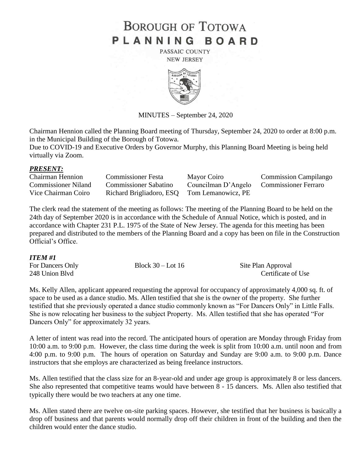# **BOROUGH OF TOTOWA** PLANNING BOARD

PASSAIC COUNTY **NEW JERSEY** 



MINUTES – September 24, 2020

Chairman Hennion called the Planning Board meeting of Thursday, September 24, 2020 to order at 8:00 p.m. in the Municipal Building of the Borough of Totowa.

Due to COVID-19 and Executive Orders by Governor Murphy, this Planning Board Meeting is being held virtually via Zoom.

### *PRESENT:*

| <b>Chairman Hennion</b>    | <b>Commissioner Festa</b>                   | Mayor Coiro         | <b>Commission Campilango</b> |
|----------------------------|---------------------------------------------|---------------------|------------------------------|
| <b>Commissioner Niland</b> | <b>Commissioner Sabatino</b>                | Councilman D'Angelo | <b>Commissioner Ferraro</b>  |
| Vice Chairman Coiro        | Richard Brigliadoro, ESQ Tom Lemanowicz, PE |                     |                              |

The clerk read the statement of the meeting as follows: The meeting of the Planning Board to be held on the 24th day of September 2020 is in accordance with the Schedule of Annual Notice, which is posted, and in accordance with Chapter 231 P.L. 1975 of the State of New Jersey. The agenda for this meeting has been prepared and distributed to the members of the Planning Board and a copy has been on file in the Construction Official's Office.

### *ITEM #1*

| For Dancers Only | Block $30 -$ Lot 16 | Site Plan Approval |
|------------------|---------------------|--------------------|
| 248 Union Blvd   |                     | Certificate of Use |

Ms. Kelly Allen, applicant appeared requesting the approval for occupancy of approximately 4,000 sq. ft. of space to be used as a dance studio. Ms. Allen testified that she is the owner of the property. She further testified that she previously operated a dance studio commonly known as "For Dancers Only" in Little Falls. She is now relocating her business to the subject Property. Ms. Allen testified that she has operated "For Dancers Only" for approximately 32 years.

A letter of intent was read into the record. The anticipated hours of operation are Monday through Friday from 10:00 a.m. to 9:00 p.m. However, the class time during the week is split from 10:00 a.m. until noon and from 4:00 p.m. to 9:00 p.m. The hours of operation on Saturday and Sunday are 9:00 a.m. to 9:00 p.m. Dance instructors that she employs are characterized as being freelance instructors.

Ms. Allen testified that the class size for an 8-year-old and under age group is approximately 8 or less dancers. She also represented that competitive teams would have between 8 - 15 dancers. Ms. Allen also testified that typically there would be two teachers at any one time.

Ms. Allen stated there are twelve on-site parking spaces. However, she testified that her business is basically a drop off business and that parents would normally drop off their children in front of the building and then the children would enter the dance studio.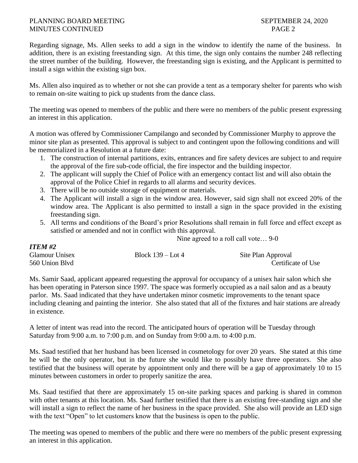### PLANNING BOARD MEETING SEPTEMBER 24, 2020 MINUTES CONTINUED PAGE 2

*ITEM #2*

Regarding signage, Ms. Allen seeks to add a sign in the window to identify the name of the business. In addition, there is an existing freestanding sign. At this time, the sign only contains the number 248 reflecting the street number of the building. However, the freestanding sign is existing, and the Applicant is permitted to install a sign within the existing sign box.

Ms. Allen also inquired as to whether or not she can provide a tent as a temporary shelter for parents who wish to remain on-site waiting to pick up students from the dance class.

The meeting was opened to members of the public and there were no members of the public present expressing an interest in this application.

A motion was offered by Commissioner Campilango and seconded by Commissioner Murphy to approve the minor site plan as presented. This approval is subject to and contingent upon the following conditions and will be memorialized in a Resolution at a future date:

- 1. The construction of internal partitions, exits, entrances and fire safety devices are subject to and require the approval of the fire sub-code official, the fire inspector and the building inspector.
- 2. The applicant will supply the Chief of Police with an emergency contact list and will also obtain the approval of the Police Chief in regards to all alarms and security devices.
- 3. There will be no outside storage of equipment or materials.
- 4. The Applicant will install a sign in the window area. However, said sign shall not exceed 20% of the window area. The Applicant is also permitted to install a sign in the space provided in the existing freestanding sign.
- 5. All terms and conditions of the Board's prior Resolutions shall remain in full force and effect except as satisfied or amended and not in conflict with this approval.

Nine agreed to a roll call vote… 9-0

| **********            |                     |                    |
|-----------------------|---------------------|--------------------|
| <b>Glamour Unisex</b> | Block $139 -$ Lot 4 | Site Plan Approval |
| 560 Union Blvd        |                     | Certificate of Use |

Ms. Samir Saad, applicant appeared requesting the approval for occupancy of a unisex hair salon which she has been operating in Paterson since 1997. The space was formerly occupied as a nail salon and as a beauty parlor. Ms. Saad indicated that they have undertaken minor cosmetic improvements to the tenant space including cleaning and painting the interior. She also stated that all of the fixtures and hair stations are already in existence.

A letter of intent was read into the record. The anticipated hours of operation will be Tuesday through Saturday from 9:00 a.m. to 7:00 p.m. and on Sunday from 9:00 a.m. to 4:00 p.m.

Ms. Saad testified that her husband has been licensed in cosmetology for over 20 years. She stated at this time he will be the only operator, but in the future she would like to possibly have three operators. She also testified that the business will operate by appointment only and there will be a gap of approximately 10 to 15 minutes between customers in order to properly sanitize the area.

Ms. Saad testified that there are approximately 15 on-site parking spaces and parking is shared in common with other tenants at this location. Ms. Saad further testified that there is an existing free-standing sign and she will install a sign to reflect the name of her business in the space provided. She also will provide an LED sign with the text "Open" to let customers know that the business is open to the public.

The meeting was opened to members of the public and there were no members of the public present expressing an interest in this application.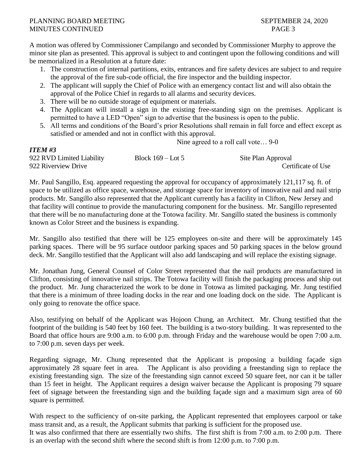*ITEM #3*

A motion was offered by Commissioner Campilango and seconded by Commissioner Murphy to approve the minor site plan as presented. This approval is subject to and contingent upon the following conditions and will be memorialized in a Resolution at a future date:

- 1. The construction of internal partitions, exits, entrances and fire safety devices are subject to and require the approval of the fire sub-code official, the fire inspector and the building inspector.
- 2. The applicant will supply the Chief of Police with an emergency contact list and will also obtain the approval of the Police Chief in regards to all alarms and security devices.
- 3. There will be no outside storage of equipment or materials.
- 4. The Applicant will install a sign in the existing free-standing sign on the premises. Applicant is permitted to have a LED "Open" sign to advertise that the business is open to the public.
- 5. All terms and conditions of the Board's prior Resolutions shall remain in full force and effect except as satisfied or amended and not in conflict with this approval.

Nine agreed to a roll call vote… 9-0

| 11 LAD 11 J               |                     |                    |
|---------------------------|---------------------|--------------------|
| 922 RVD Limited Liability | Block $169 -$ Lot 5 | Site Plan Approval |
| 922 Riverview Drive       |                     | Certificate of Use |

Mr. Paul Sangillo, Esq. appeared requesting the approval for occupancy of approximately 121,117 sq. ft. of space to be utilized as office space, warehouse, and storage space for inventory of innovative nail and nail strip products. Mr. Sangillo also represented that the Applicant currently has a facility in Clifton, New Jersey and that facility will continue to provide the manufacturing component for the business. Mr. Sangillo represented that there will be no manufacturing done at the Totowa facility. Mr. Sangillo stated the business is commonly known as Color Street and the business is expanding.

Mr. Sangillo also testified that there will be 125 employees on-site and there will be approximately 145 parking spaces. There will be 95 surface outdoor parking spaces and 50 parking spaces in the below ground deck. Mr. Sangillo testified that the Applicant will also add landscaping and will replace the existing signage.

Mr. Jonathan Jung, General Counsel of Color Street represented that the nail products are manufactured in Clifton, consisting of innovative nail strips. The Totowa facility will finish the packaging process and ship out the product. Mr. Jung characterized the work to be done in Totowa as limited packaging. Mr. Jung testified that there is a minimum of three loading docks in the rear and one loading dock on the side. The Applicant is only going to renovate the office space.

Also, testifying on behalf of the Applicant was Hojoon Chung, an Architect. Mr. Chung testified that the footprint of the building is 540 feet by 160 feet. The building is a two-story building. It was represented to the Board that office hours are 9:00 a.m. to 6:00 p.m. through Friday and the warehouse would be open 7:00 a.m. to 7:00 p.m. seven days per week.

Regarding signage, Mr. Chung represented that the Applicant is proposing a building façade sign approximately 28 square feet in area. The Applicant is also providing a freestanding sign to replace the existing freestanding sign. The size of the freestanding sign cannot exceed 50 square feet, nor can it be taller than 15 feet in height. The Applicant requires a design waiver because the Applicant is proposing 79 square feet of signage between the freestanding sign and the building façade sign and a maximum sign area of 60 square is permitted.

With respect to the sufficiency of on-site parking, the Applicant represented that employees carpool or take mass transit and, as a result, the Applicant submits that parking is sufficient for the proposed use. It was also confirmed that there are essentially two shifts. The first shift is from 7:00 a.m. to 2:00 p.m. There is an overlap with the second shift where the second shift is from 12:00 p.m. to 7:00 p.m.